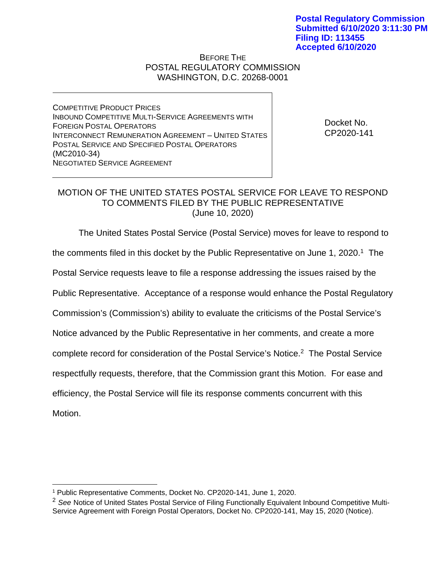## BEFORE THE POSTAL REGULATORY COMMISSION WASHINGTON, D.C. 20268-0001

COMPETITIVE PRODUCT PRICES INBOUND COMPETITIVE MULTI-SERVICE AGREEMENTS WITH FOREIGN POSTAL OPERATORS INTERCONNECT REMUNERATION AGREEMENT – UNITED STATES POSTAL SERVICE AND SPECIFIED POSTAL OPERATORS (MC2010-34) NEGOTIATED SERVICE AGREEMENT

Docket No. CP2020-141

## MOTION OF THE UNITED STATES POSTAL SERVICE FOR LEAVE TO RESPOND TO COMMENTS FILED BY THE PUBLIC REPRESENTATIVE (June 10, 2020)

The United States Postal Service (Postal Service) moves for leave to respond to

the comments filed in this docket by the Public Representative on June 1, 2020.<sup>1</sup> The

Postal Service requests leave to file a response addressing the issues raised by the

Public Representative. Acceptance of a response would enhance the Postal Regulatory

Commission's (Commission's) ability to evaluate the criticisms of the Postal Service's

Notice advanced by the Public Representative in her comments, and create a more

complete record for consideration of the Postal Service's Notice.2 The Postal Service

respectfully requests, therefore, that the Commission grant this Motion. For ease and

efficiency, the Postal Service will file its response comments concurrent with this

Motion.

 $\overline{a}$ 

<sup>1</sup> Public Representative Comments, Docket No. CP2020-141, June 1, 2020.

<sup>&</sup>lt;sup>2</sup> See Notice of United States Postal Service of Filing Functionally Equivalent Inbound Competitive Multi-Service Agreement with Foreign Postal Operators, Docket No. CP2020-141, May 15, 2020 (Notice).